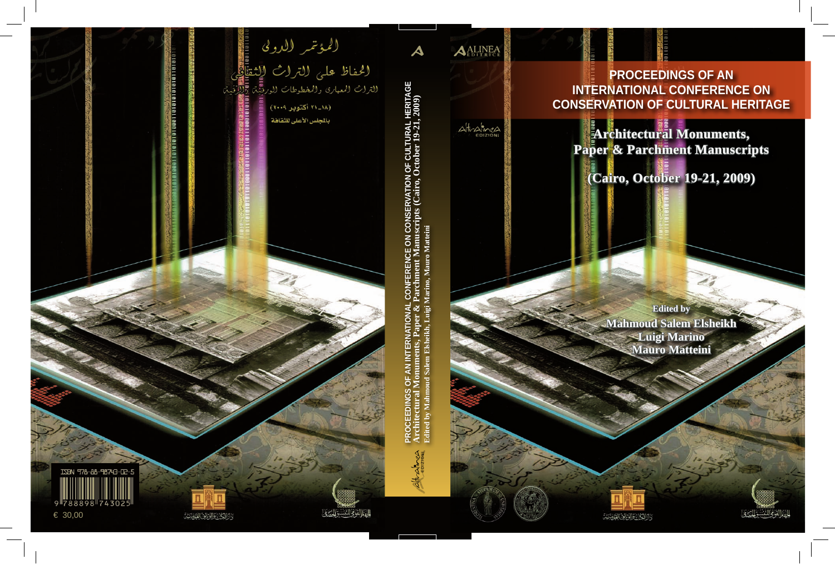

**ALINEA** 

**Architectural Monuments, Paper & Parchment Manuscripts**

**(Cairo, October 19-21, 2009)**

**Edited by Mahmoud Salem Elsheikh Luigi Marino Mauro Matteini**



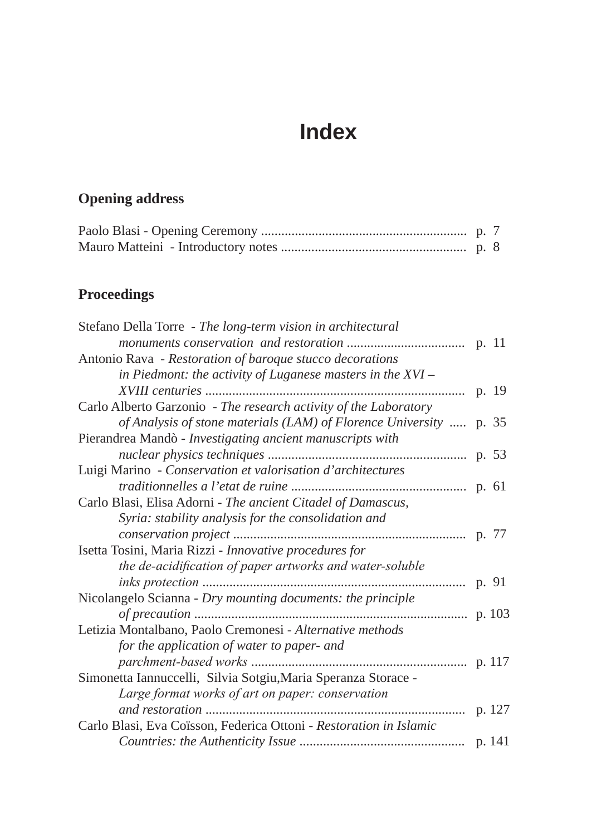## **Index**

## **Opening address**

## **Proceedings**

| Stefano Della Torre - The long-term vision in architectural        |  |
|--------------------------------------------------------------------|--|
|                                                                    |  |
| Antonio Rava - Restoration of baroque stucco decorations           |  |
| in Piedmont: the activity of Luganese masters in the $XVI -$       |  |
|                                                                    |  |
| Carlo Alberto Garzonio - The research activity of the Laboratory   |  |
| of Analysis of stone materials (LAM) of Florence University  p. 35 |  |
| Pierandrea Mandò - Investigating ancient manuscripts with          |  |
|                                                                    |  |
| Luigi Marino - Conservation et valorisation d'architectures        |  |
|                                                                    |  |
| Carlo Blasi, Elisa Adorni - The ancient Citadel of Damascus,       |  |
| Syria: stability analysis for the consolidation and                |  |
|                                                                    |  |
| Isetta Tosini, Maria Rizzi - Innovative procedures for             |  |
| the de-acidification of paper artworks and water-soluble           |  |
|                                                                    |  |
| Nicolangelo Scianna - Dry mounting documents: the principle        |  |
|                                                                    |  |
| Letizia Montalbano, Paolo Cremonesi - Alternative methods          |  |
| for the application of water to paper- and                         |  |
|                                                                    |  |
| Simonetta Iannuccelli, Silvia Sotgiu, Maria Speranza Storace -     |  |
| Large format works of art on paper: conservation                   |  |
|                                                                    |  |
| Carlo Blasi, Eva Coïsson, Federica Ottoni - Restoration in Islamic |  |
|                                                                    |  |
|                                                                    |  |